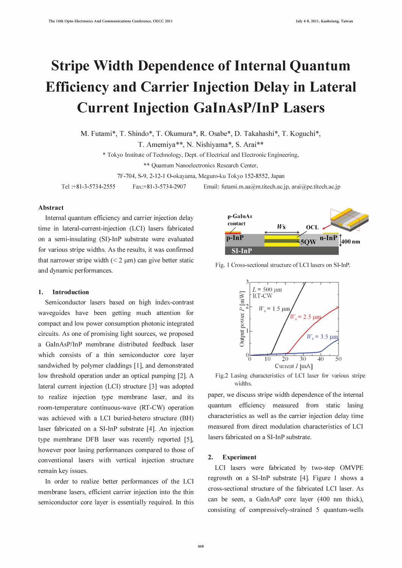# Stripe Width Dependence of Internal Quantum Efficiency and Carrier Injection Delay in Lateral Current Injection GaInAsP/InP Lasers

M. Futami\*, T. Shindo\*, T. Okumura\*, R. Osabe\*, D. Takahashi\*, T. Koguchi\*,

T. Amemiya\*\*, N. Nishiyama\*, s. Arai\*\*

\* Tokyo Institute of Technology, Dept. of Electrical and Electronic Engineering.

\*\* Quantum Nanoelectronics Research Center.

7F-704. S-9. 2-12-1 O-okayama. Meguro-ku Tokyo 152-8552. Japan

Tel :+81-3-5734-2555 Fax:+81-3-5734-2907 Email: futami.m.aa@m.titech.ac.jp, arai@pe.titech.ac.jp

## Abstract

Internal quantum efficiency and carrier injection delay time in lateral-current-injection (LCI) lasers fabricated on a semi-insulating (SI)-InP substrate were evaluated for various stripe widths. As the results, it was confirmed that narrower stripe width  $(< 2 \mu m)$  can give better static and dynamic performances.

## 1. Introduction

Semiconductor lasers based on high index-contrast waveguides have been getting much attention for compact and low power consumption photonic integrated circuits. As one of promising light sources, we proposed a GaInAsP/InP membrane distributed feedback laser which consists of a thin semiconductor core layer sandwiched by polymer claddings [1], and demonstrated low threshold operation under an optical pumping [2]. A lateral current injection (LCI) structure [3] was adopted to realize injection type membrane laser, and its room-temperature continuous-wave (RT-CW) operation was achieved with a LCI buried-hetero structure (BH) laser fabricated on a Si-InP substrate [4]. An injection type membrane DFB laser was recently reported [5], however poor lasing performances compared to those of conventional lasers with vertical injection structure remain key issues.

In order to realize better performances of the LCI membrane lasers, efficient carrier injection into the thin semiconductor core layer is essentially required. In this



Fig. 1 Cross-sectional structure of LCI lasers on SI-InP.



Fig.2 Lasing characteristics of LCI laser for various stripe widths.

paper, we discuss stripe width dependence of the internal quantum efficiency measured from static lasing characteristics as well as the carrier injection delay time measured from direct modulation characteristics of LCI lasers fabricated on a Si-InP substrate.

## 2. Experiment

LCI lasers were fabricated by two-step OMVPE regrowth on a Si-InP substrate [4]. Figure 1 shows a cross-sectional structure of the fabricated LCI laser. As can be seen, a GalnAsP core layer (400 nm thick), consisting of compressively-strained 5 quantum-wells